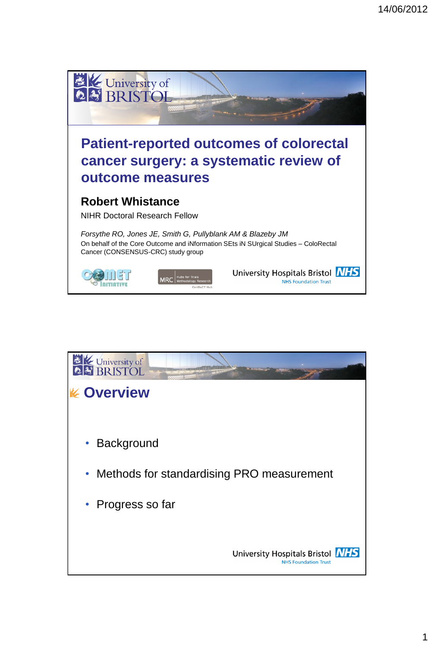

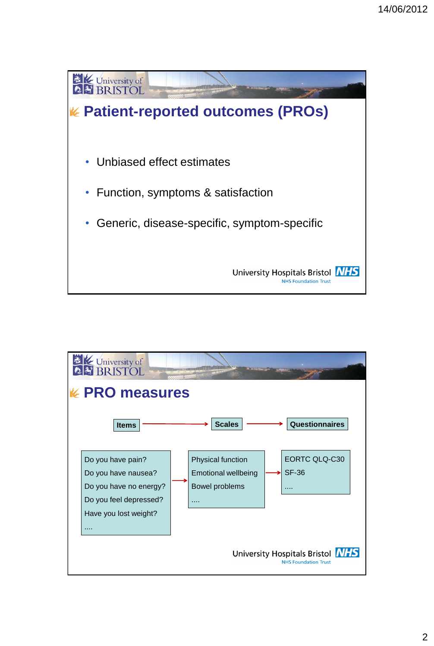

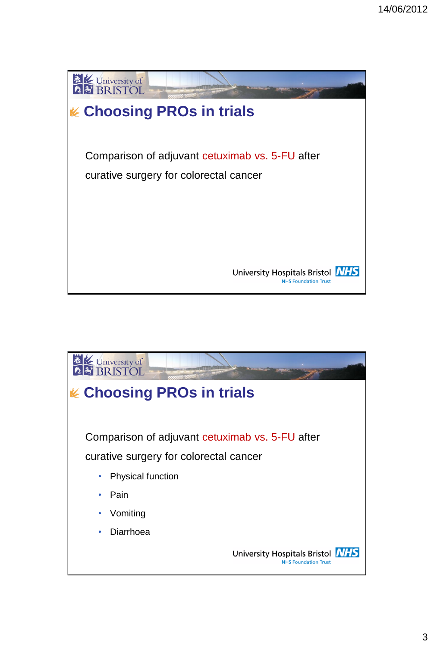

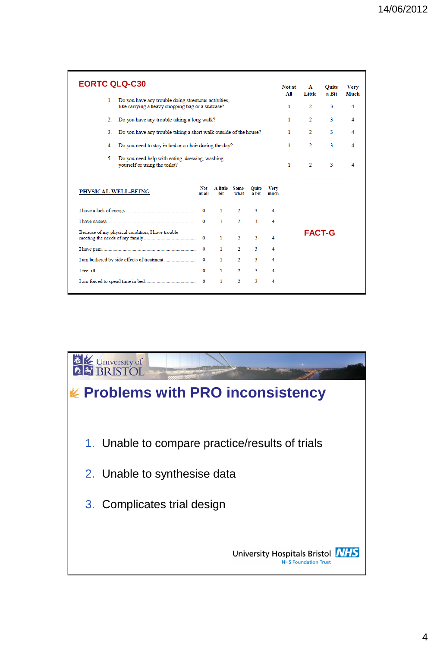| <b>EORTC QLQ-C30</b>                                                                                           |               |                 |                |                |                     | Not at<br>All | $\mathbf{A}$<br>Little | Ouite<br>a Bit | <b>Very</b><br>Much |
|----------------------------------------------------------------------------------------------------------------|---------------|-----------------|----------------|----------------|---------------------|---------------|------------------------|----------------|---------------------|
| Do you have any trouble doing stremuous activities,<br>1.<br>like carrying a heavy shopping bag or a suitcase? |               |                 |                |                |                     | 1             | $\mathfrak{D}$         | 3              | 4                   |
| Do you have any trouble taking a long walk?<br>2.                                                              |               |                 |                |                |                     | 1             | $\mathbf{2}$           | 3              | 4                   |
| Do you have any trouble taking a short walk outside of the house?<br>3.                                        |               |                 |                |                |                     | 1             | $\overline{2}$         | 3              | 4                   |
| Do you need to stay in bed or a chair during the day?<br>4.                                                    |               |                 |                |                |                     | $\mathbf{1}$  | $\overline{2}$         | 3              | 4                   |
| 5.<br>Do you need help with eating, dressing, washing<br>yourself or using the toilet?                         |               |                 |                |                |                     | 1             | $\overline{2}$         | 3              | 4                   |
| PHYSICAL WELL-BEING                                                                                            | Not<br>at all | A little<br>bit | Some-<br>what  | Ouite<br>a bit | <b>Very</b><br>much |               |                        |                |                     |
|                                                                                                                |               | $\mathbf{1}$    | $\overline{2}$ | 3              | 4                   |               |                        |                |                     |
|                                                                                                                | $\Omega$      | 1               | $\overline{2}$ | 3              | 4                   |               |                        |                |                     |
| Because of my physical condition, I have trouble                                                               | $\Omega$      | $\mathbf{1}$    | $\mathcal{D}$  | $\mathbf{3}$   | 4                   |               | <b>FACT-G</b>          |                |                     |
|                                                                                                                | $\Omega$      | 1               | $\overline{2}$ | 3              | 4                   |               |                        |                |                     |
|                                                                                                                | $\bf{0}$      | $\mathbf{1}$    | $\overline{2}$ | $\overline{3}$ | 4                   |               |                        |                |                     |
|                                                                                                                | $\Omega$      | 1               | $\overline{2}$ | 3              | 4                   |               |                        |                |                     |
|                                                                                                                | $\mathbf{0}$  | 1               | $\overline{2}$ | 3              | 4                   |               |                        |                |                     |

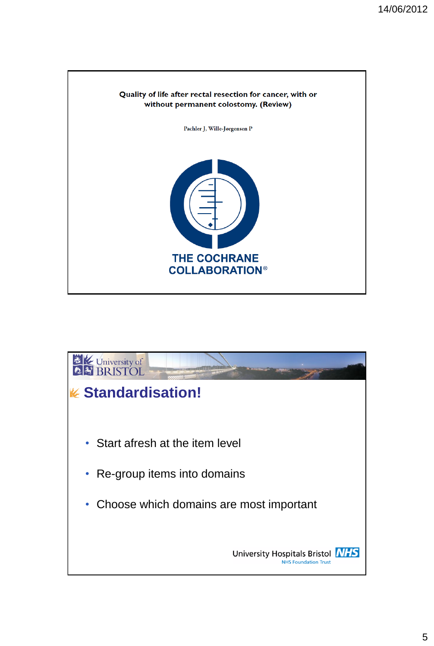

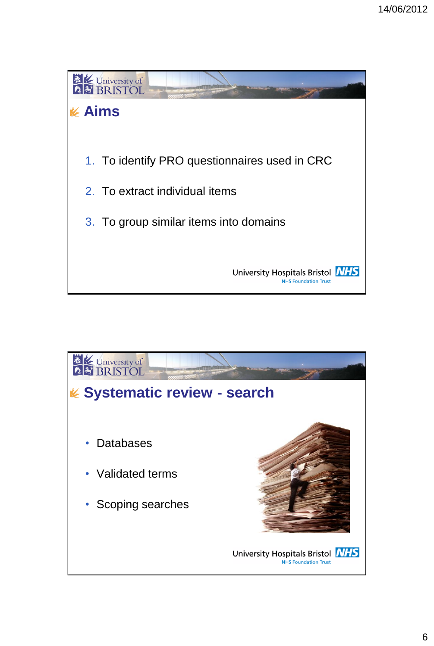

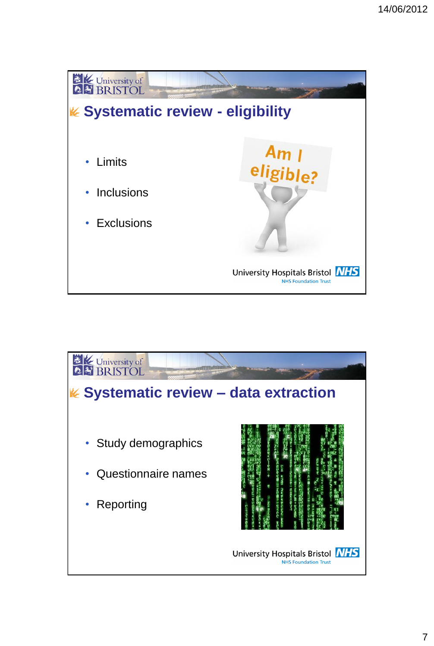

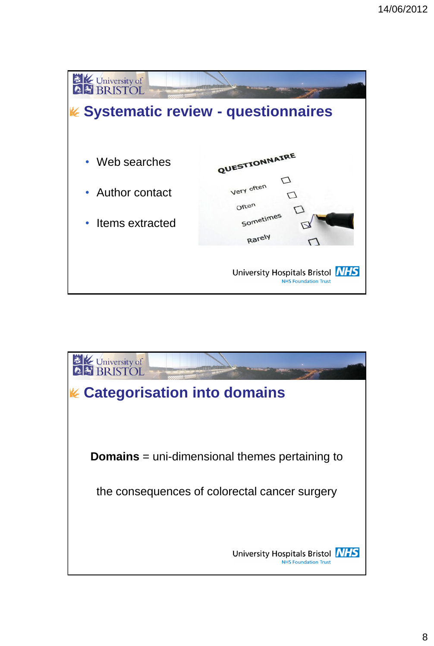

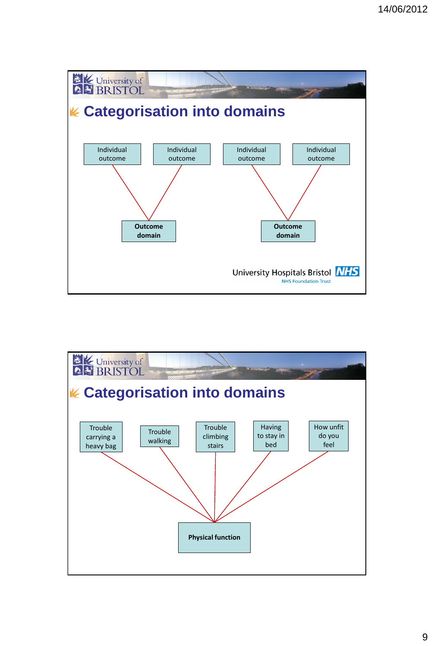

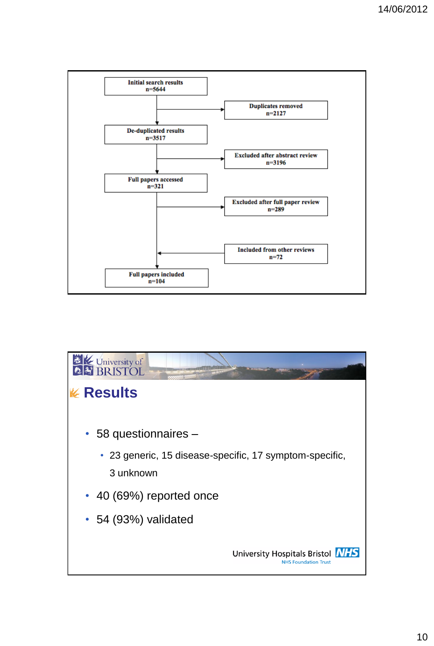

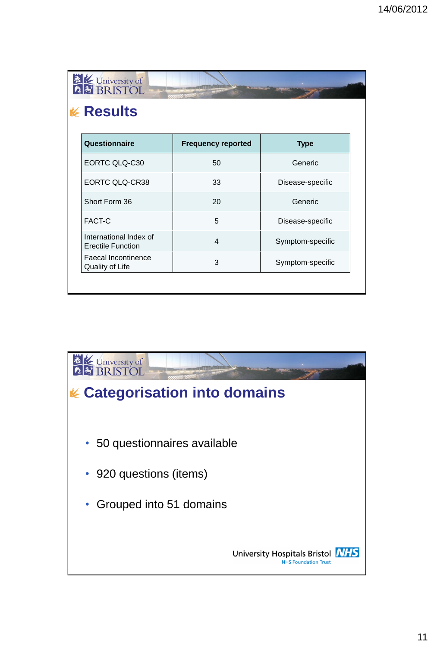| <b>K</b> Results                                   |                           |                  |
|----------------------------------------------------|---------------------------|------------------|
|                                                    |                           |                  |
| Questionnaire                                      | <b>Frequency reported</b> | <b>Type</b>      |
| EORTC QLQ-C30                                      | 50                        | Generic          |
| <b>EORTC QLQ-CR38</b>                              | 33                        | Disease-specific |
| Short Form 36                                      | 20                        | Generic          |
| FACT-C                                             | 5                         | Disease-specific |
| International Index of<br><b>Erectile Function</b> | $\overline{4}$            | Symptom-specific |
| <b>Faecal Incontinence</b><br>Quality of Life      | 3                         | Symptom-specific |

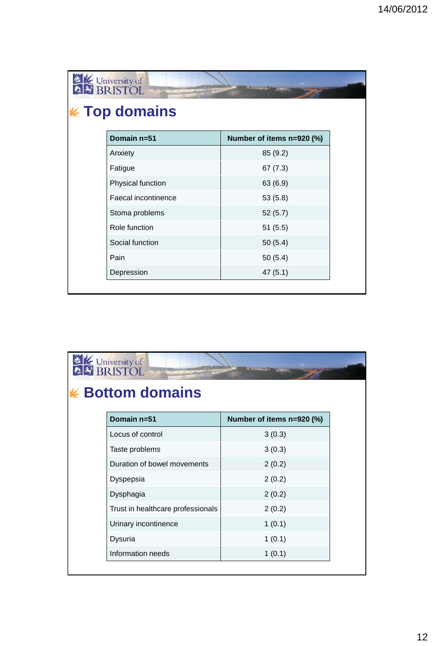| Domain n=51         | Number of items n=920 (%) |
|---------------------|---------------------------|
| Anxiety             | 85 (9.2)                  |
| Fatigue             | 67(7.3)                   |
| Physical function   | 63 (6.9)                  |
| Faecal incontinence | 53(5.8)                   |
| Stoma problems      | 52(5.7)                   |
| Role function       | 51(5.5)                   |
| Social function     | 50(5.4)                   |
| Pain                | 50(5.4)                   |
| Depression          | 47(5.1)                   |

| <b>EXAMPLE 1998</b><br><b>2. BRISTOL</b><br><b>K</b> Bottom domains |                           |
|---------------------------------------------------------------------|---------------------------|
| Domain n=51                                                         | Number of items n=920 (%) |
| Locus of control                                                    | 3(0.3)                    |
| Taste problems                                                      | 3(0.3)                    |
| Duration of bowel movements                                         | 2(0.2)                    |
| Dyspepsia                                                           | 2(0.2)                    |
| Dysphagia                                                           | 2(0.2)                    |
| Trust in healthcare professionals                                   | 2(0.2)                    |
| Urinary incontinence                                                | 1(0.1)                    |
| Dysuria                                                             | 1(0.1)                    |
| Information needs                                                   | 1(0.1)                    |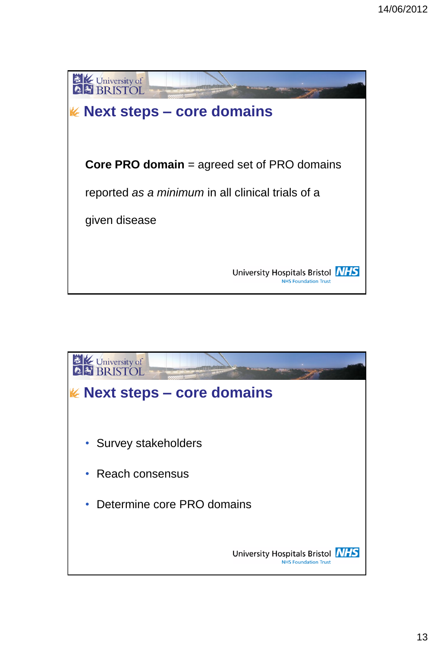

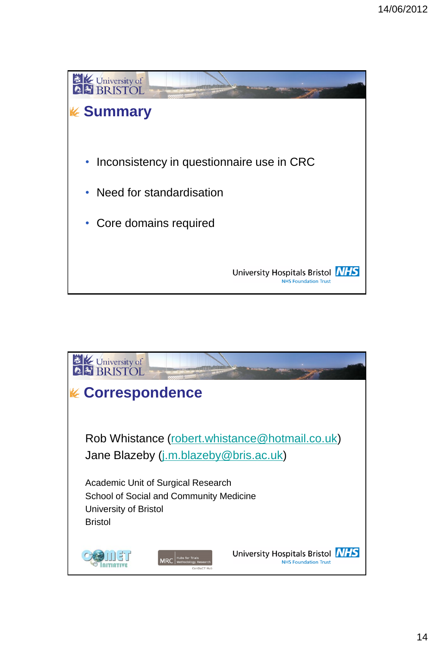